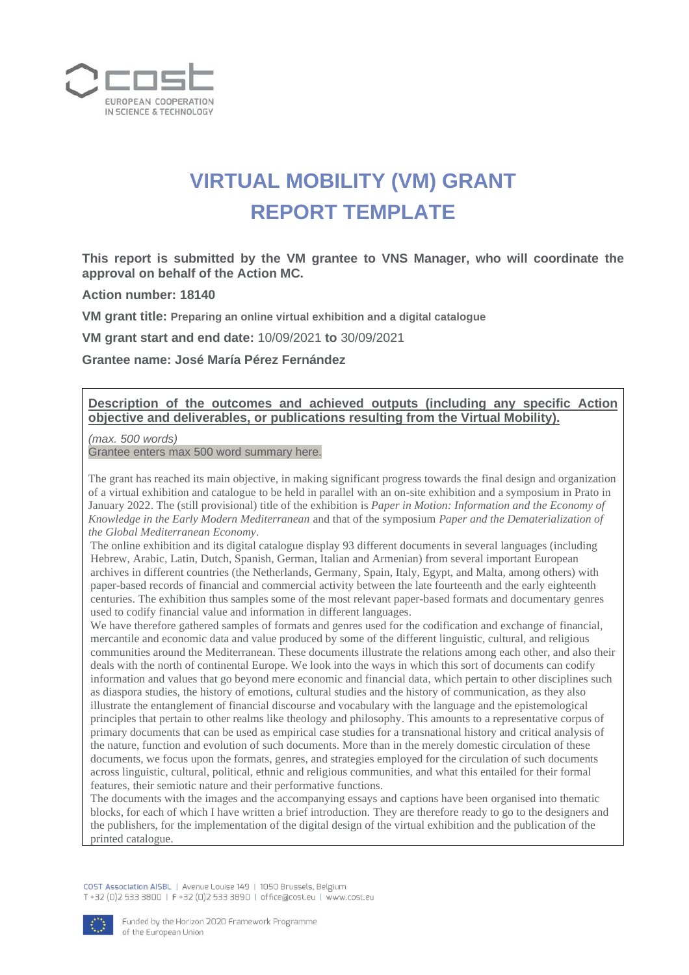

## **VIRTUAL MOBILITY (VM) GRANT REPORT TEMPLATE**

**This report is submitted by the VM grantee to VNS Manager, who will coordinate the approval on behalf of the Action MC.**

**Action number: 18140**

**VM grant title: Preparing an online virtual exhibition and a digital catalogue**

**VM grant start and end date:** 10/09/2021 **to** 30/09/2021

**Grantee name: José María Pérez Fernández**

## **Description of the outcomes and achieved outputs (including any specific Action objective and deliverables, or publications resulting from the Virtual Mobility).**

*(max. 500 words)* 

Grantee enters max 500 word summary here.

The grant has reached its main objective, in making significant progress towards the final design and organization of a virtual exhibition and catalogue to be held in parallel with an on-site exhibition and a symposium in Prato in January 2022. The (still provisional) title of the exhibition is *Paper in Motion: Information and the Economy of Knowledge in the Early Modern Mediterranean* and that of the symposium *Paper and the Dematerialization of the Global Mediterranean Economy*.

The online exhibition and its digital catalogue display 93 different documents in several languages (including Hebrew, Arabic, Latin, Dutch, Spanish, German, Italian and Armenian) from several important European archives in different countries (the Netherlands, Germany, Spain, Italy, Egypt, and Malta, among others) with paper-based records of financial and commercial activity between the late fourteenth and the early eighteenth centuries. The exhibition thus samples some of the most relevant paper-based formats and documentary genres used to codify financial value and information in different languages.

We have therefore gathered samples of formats and genres used for the codification and exchange of financial, mercantile and economic data and value produced by some of the different linguistic, cultural, and religious communities around the Mediterranean. These documents illustrate the relations among each other, and also their deals with the north of continental Europe. We look into the ways in which this sort of documents can codify information and values that go beyond mere economic and financial data, which pertain to other disciplines such as diaspora studies, the history of emotions, cultural studies and the history of communication, as they also illustrate the entanglement of financial discourse and vocabulary with the language and the epistemological principles that pertain to other realms like theology and philosophy. This amounts to a representative corpus of primary documents that can be used as empirical case studies for a transnational history and critical analysis of the nature, function and evolution of such documents. More than in the merely domestic circulation of these documents, we focus upon the formats, genres, and strategies employed for the circulation of such documents across linguistic, cultural, political, ethnic and religious communities, and what this entailed for their formal features, their semiotic nature and their performative functions.

The documents with the images and the accompanying essays and captions have been organised into thematic blocks, for each of which I have written a brief introduction. They are therefore ready to go to the designers and the publishers, for the implementation of the digital design of the virtual exhibition and the publication of the printed catalogue.

COST Association AISBL | Avenue Louise 149 | 1050 Brussels, Belgium T+32 (0)2 533 3800 | F+32 (0)2 533 3890 | office@cost.eu | www.cost.eu

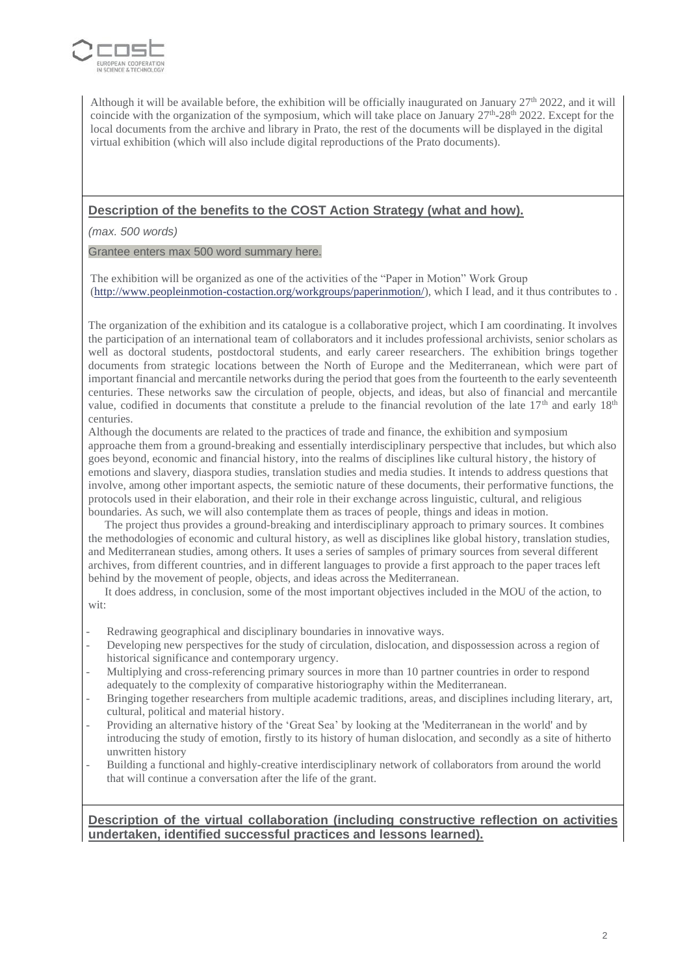

Although it will be available before, the exhibition will be officially inaugurated on January  $27<sup>th</sup> 2022$ , and it will coincide with the organization of the symposium, which will take place on January  $27<sup>th</sup> - 28<sup>th</sup>$  2022. Except for the local documents from the archive and library in Prato, the rest of the documents will be displayed in the digital virtual exhibition (which will also include digital reproductions of the Prato documents).

## **Description of the benefits to the COST Action Strategy (what and how).**

*(max. 500 words)* 

Grantee enters max 500 word summary here.

The exhibition will be organized as one of the activities of the "Paper in Motion" Work Group [\(http://www.peopleinmotion-costaction.org/workgroups/paperinmotion/\)](http://www.peopleinmotion-costaction.org/workgroups/paperinmotion/), which I lead, and it thus contributes to .

The organization of the exhibition and its catalogue is a collaborative project, which I am coordinating. It involves the participation of an international team of collaborators and it includes professional archivists, senior scholars as well as doctoral students, postdoctoral students, and early career researchers. The exhibition brings together documents from strategic locations between the North of Europe and the Mediterranean, which were part of important financial and mercantile networks during the period that goes from the fourteenth to the early seventeenth centuries. These networks saw the circulation of people, objects, and ideas, but also of financial and mercantile value, codified in documents that constitute a prelude to the financial revolution of the late  $17<sup>th</sup>$  and early  $18<sup>th</sup>$ centuries.

Although the documents are related to the practices of trade and finance, the exhibition and symposium approache them from a ground-breaking and essentially interdisciplinary perspective that includes, but which also goes beyond, economic and financial history, into the realms of disciplines like cultural history, the history of emotions and slavery, diaspora studies, translation studies and media studies. It intends to address questions that involve, among other important aspects, the semiotic nature of these documents, their performative functions, the protocols used in their elaboration, and their role in their exchange across linguistic, cultural, and religious boundaries. As such, we will also contemplate them as traces of people, things and ideas in motion.

The project thus provides a ground-breaking and interdisciplinary approach to primary sources. It combines the methodologies of economic and cultural history, as well as disciplines like global history, translation studies, and Mediterranean studies, among others. It uses a series of samples of primary sources from several different archives, from different countries, and in different languages to provide a first approach to the paper traces left behind by the movement of people, objects, and ideas across the Mediterranean.

It does address, in conclusion, some of the most important objectives included in the MOU of the action, to wit:

- Redrawing geographical and disciplinary boundaries in innovative ways.
- Developing new perspectives for the study of circulation, dislocation, and dispossession across a region of historical significance and contemporary urgency.
- Multiplying and cross-referencing primary sources in more than 10 partner countries in order to respond adequately to the complexity of comparative historiography within the Mediterranean.
- Bringing together researchers from multiple academic traditions, areas, and disciplines including literary, art, cultural, political and material history.
- Providing an alternative history of the 'Great Sea' by looking at the 'Mediterranean in the world' and by introducing the study of emotion, firstly to its history of human dislocation, and secondly as a site of hitherto unwritten history
- Building a functional and highly-creative interdisciplinary network of collaborators from around the world that will continue a conversation after the life of the grant.

**Description of the virtual collaboration (including constructive reflection on activities undertaken, identified successful practices and lessons learned).**